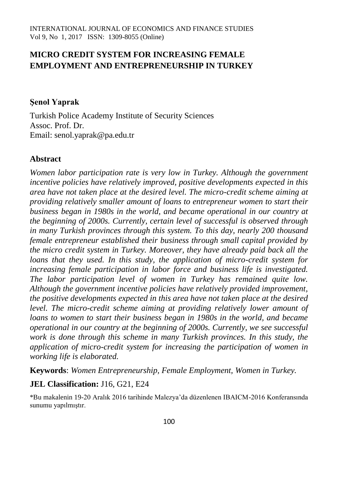# **MICRO CREDIT SYSTEM FOR INCREASING FEMALE EMPLOYMENT AND ENTREPRENEURSHIP IN TURKEY**

### **Şenol Yaprak**

Turkish Police Academy Institute of Security Sciences Assoc. Prof. Dr. Email: senol.yaprak@pa.edu.tr

## **Abstract**

*Women labor participation rate is very low in Turkey. Although the government incentive policies have relatively improved, positive developments expected in this area have not taken place at the desired level. The micro-credit scheme aiming at providing relatively smaller amount of loans to entrepreneur women to start their business began in 1980s in the world, and became operational in our country at the beginning of 2000s. Currently, certain level of successful is observed through in many Turkish provinces through this system. To this day, nearly 200 thousand female entrepreneur established their business through small capital provided by the micro credit system in Turkey. Moreover, they have already paid back all the loans that they used. In this study, the application of micro-credit system for increasing female participation in labor force and business life is investigated. The labor participation level of women in Turkey has remained quite low. Although the government incentive policies have relatively provided improvement, the positive developments expected in this area have not taken place at the desired level. The micro-credit scheme aiming at providing relatively lower amount of loans to women to start their business began in 1980s in the world, and became operational in our country at the beginning of 2000s. Currently, we see successful work is done through this scheme in many Turkish provinces. In this study, the application of micro-credit system for increasing the participation of women in working life is elaborated.*

**Keywords**: *Women Entrepreneurship, Female Employment, Women in Turkey.*

### **JEL Classification:** J16, G21, E24

\*Bu makalenin 19-20 Aralık 2016 tarihinde Malezya'da düzenlenen IBAICM-2016 Konferansında sunumu yapılmıştır.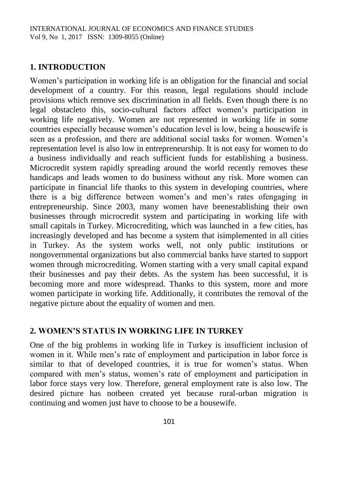## **1. INTRODUCTION**

Women's participation in working life is an obligation for the financial and social development of a country. For this reason, legal regulations should include provisions which remove sex discrimination in all fields. Even though there is no legal obstacleto this, socio-cultural factors affect women's participation in working life negatively. Women are not represented in working life in some countries especially because women's education level is low, being a housewife is seen as a profession, and there are additional social tasks for women. Women's representation level is also low in entrepreneurship. It is not easy for women to do a business individually and reach sufficient funds for establishing a business. Microcredit system rapidly spreading around the world recently removes these handicaps and leads women to do business without any risk. More women can participate in financial life thanks to this system in developing countries, where there is a big difference between women's and men's rates ofengaging in entrepreneurship. Since 2003, many women have beenestablishing their own businesses through microcredit system and participating in working life with small capitals in Turkey. Microcrediting, which was launched in a few cities, has increasingly developed and has become a system that isimplemented in all cities in Turkey. As the system works well, not only public institutions or nongovernmental organizations but also commercial banks have started to support women through microcrediting. Women starting with a very small capital expand their businesses and pay their debts. As the system has been successful, it is becoming more and more widespread. Thanks to this system, more and more women participate in working life. Additionally, it contributes the removal of the negative picture about the equality of women and men.

# **2. WOMEN'S STATUS IN WORKING LIFE IN TURKEY**

One of the big problems in working life in Turkey is insufficient inclusion of women in it. While men's rate of employment and participation in labor force is similar to that of developed countries, it is true for women's status. When compared with men's status, women's rate of employment and participation in labor force stays very low. Therefore, general employment rate is also low. The desired picture has notbeen created yet because rural-urban migration is continuing and women just have to choose to be a housewife.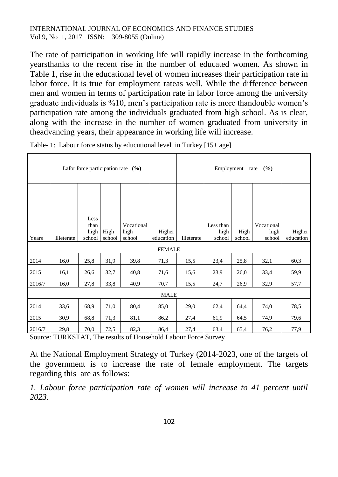The rate of participation in working life will rapidly increase in the forthcoming yearsthanks to the recent rise in the number of educated women. As shown in Table 1, rise in the educational level of women increases their participation rate in labor force. It is true for employment rateas well. While the difference between men and women in terms of participation rate in labor force among the university graduate individuals is %10, men's participation rate is more thandouble women's participation rate among the individuals graduated from high school. As is clear, along with the increase in the number of women graduated from university in theadvancing years, their appearance in working life will increase.

| Lafor force participation rate $(%)$ |            |                                |                |                              |                     |            | Employment rate             | $($ %)         |                              |                     |
|--------------------------------------|------------|--------------------------------|----------------|------------------------------|---------------------|------------|-----------------------------|----------------|------------------------------|---------------------|
|                                      |            |                                |                |                              |                     |            |                             |                |                              |                     |
| Years                                | Illeterate | Less<br>than<br>high<br>school | High<br>school | Vocational<br>high<br>school | Higher<br>education | Illeterate | Less than<br>high<br>school | High<br>school | Vocational<br>high<br>school | Higher<br>education |
|                                      |            |                                |                |                              | <b>FEMALE</b>       |            |                             |                |                              |                     |
| 2014                                 | 16,0       | 25,8                           | 31,9           | 39,8                         | 71,3                | 15,5       | 23,4                        | 25,8           | 32,1                         | 60,3                |
| 2015                                 | 16,1       | 26,6                           | 32,7           | 40,8                         | 71,6                | 15,6       | 23,9                        | 26,0           | 33,4                         | 59,9                |
| 2016/7                               | 16,0       | 27,8                           | 33,8           | 40,9                         | 70,7                | 15,5       | 24,7                        | 26,9           | 32,9                         | 57,7                |
|                                      |            |                                |                |                              | <b>MALE</b>         |            |                             |                |                              |                     |
| 2014                                 | 33,6       | 68,9                           | 71,0           | 80,4                         | 85,0                | 29,0       | 62,4                        | 64,4           | 74,0                         | 78,5                |
| 2015                                 | 30,9       | 68,8                           | 71,3           | 81,1                         | 86,2                | 27,4       | 61,9                        | 64,5           | 74,9                         | 79,6                |
| 2016/7                               | 29,8       | 70,0                           | 72,5           | 82,3                         | 86,4                | 27,4       | 63,4                        | 65,4           | 76,2                         | 77,9                |

Table- 1: Labour force status by educutional level in Turkey [15+ age]

Source: TURKSTAT, The results of Household Labour Force Survey

At the National Employment Strategy of Turkey (2014-2023, one of the targets of the government is to increase the rate of female employment. The targets regarding this are as follows:

*1. Labour force participation rate of women will increase to 41 percent until 2023.*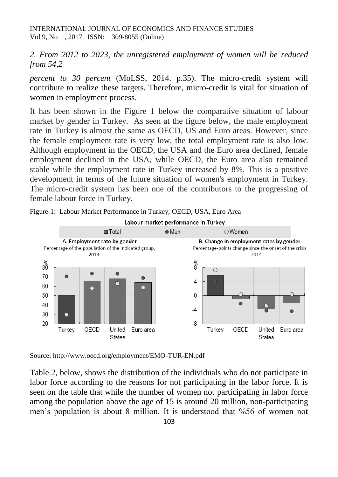*2. From 2012 to 2023, the unregistered employment of women will be reduced from 54,2*

*percent to 30 percent* (MoLSS, 2014. p.35). The micro-credit system will contribute to realize these targets. Therefore, micro-credit is vital for situation of women in employment process.

It has been shown in the Figure 1 below the comparative situation of labour market by gender in Turkey. As seen at the figure below, the male employment rate in Turkey is almost the same as OECD, US and Euro areas. However, since the female employment rate is very low, the total employment rate is also low. Although employment in the OECD, the USA and the Euro area declined, female employment declined in the USA, while OECD, the Euro area also remained stable while the employment rate in Turkey increased by 8%. This is a positive development in terms of the future situation of women's employment in Turkey. The micro-credit system has been one of the contributors to the progressing of female labour force in Turkey.



Figure-1: Labour Market Performance in Turkey, OECD, USA, Euro Area

Source: http://www.oecd.org/employment/EMO-TUR-EN.pdf

Table 2, below, shows the distribution of the individuals who do not participate in labor force according to the reasons for not participating in the labor force. It is seen on the table that while the number of women not participating in labor force among the population above the age of 15 is around 20 million, non-participating men's population is about 8 million. It is understood that %56 of women not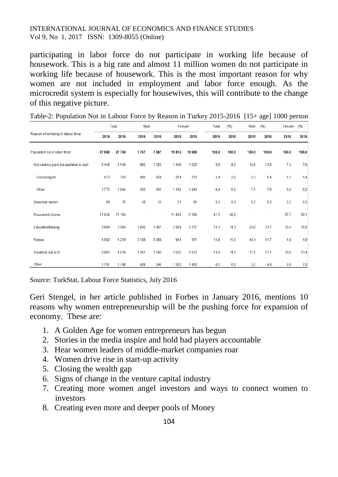participating in labor force do not participate in working life because of housework. This is a big rate and almost 11 million women do not participate in working life because of housework. This is the most important reason for why women are not included in employment and labor force enough. As the microcredit system is especially for housewives, this will contribute to the change of this negative picture.

|                                          |          | Total   | Male    |         | Female  |         | Total | (% )  | Male  | (96)  | Female         | (96)  |
|------------------------------------------|----------|---------|---------|---------|---------|---------|-------|-------|-------|-------|----------------|-------|
| Reason of not being in labour force      | 2015     | 2016    | 2015    | 2016    | 2015    | 2016    | 2015  | 2016  | 2015  | 2016  | 2015           | 2016  |
| Population not in labor force            | 27 580   | 27795   | 7767    | 7887    | 19813   | 19 908  | 100,0 | 100.0 | 100,0 | 100,0 | 100,0          | 100,0 |
| Not seeking a job but available to start | 2448     | 2548    | 992     | 1 0 2 5 | 1456    | 1522    | 8,9   | 92    | 12,8  | 13,0  | 7 <sub>3</sub> | 7,6   |
| <b>Discouraged</b>                       | 673      | 703     | 409     | 424     | 264     | 279     | 2,4   | 2,5   | 5,3   | 5,4   | 1,3            | 1,4   |
| Other                                    | 1775     | 1844    | 583     | 601     | 1 1 9 2 | 1 2 4 3 | 6,4   | 6,6   | 7,5   | 7,6   | 6,0            | 6,2   |
| Seasonal worker                          | 69       | 75      | 18      | 15      | 51      | 59      | 0.3   | 0.3   | 0,2   | 0.2   | 0.3            | 0,3   |
| Household chores                         | 11 4 3 2 | 11 1 64 |         |         | 11 4 32 | 11 164  | 41,5  | 40.2  |       |       | 57,7           | 56,1  |
| Education/training                       | 3894     | 3984    | 1830    | 1867    | 2064    | 2 1 1 7 | 14,1  | 14,3  | 23,6  | 23,7  | 10,4           | 10,6  |
| <b>Retired</b>                           | 4 0 8 2  | 4 2 5 9 | 3 1 3 8 | 3 2 8 8 | 944     | 971     | 14,8  | 15.3  | 40.4  | 41.7  | 4,8            | 4,9   |
| Disabled, old or ill                     | 3863     | 4018    | 1361    | 1345    | 2502    | 2673    | 14,0  | 14,5  | 17,5  | 17,1  | 12,6           | 13,4  |
| Other                                    | 1791     | 1748    | 428     | 346     | 1363    | 1 4 0 2 | 6,5   | 6,3   | 5,5   | 4,4   | 6.9            | 7,0   |

Table-2: Population Not in Labour Force by Reason in Turkey 2015-2016 [15+ age] 1000 person

Source: TurkStat, Labour Force Statistics, July 2016

[Geri Stengel,](http://www.forbes.com/sites/geristengel/) in her article published in Forbes in January 2016, mentions 10 reasons why women entrepreneurship will be the pushing force for expansion of economy. These are:

- 1. A Golden Age for women entrepreneurs has begun
- 2. Stories in the media inspire and hold bad players accountable
- 3. Hear women leaders of middle-market companies roar
- 4. Women drive rise in start-up activity
- 5. Closing the wealth gap
- 6. Signs of change in the venture capital industry
- 7. Creating more women angel investors and ways to connect women to investors
- 8. Creating even more and deeper pools of Money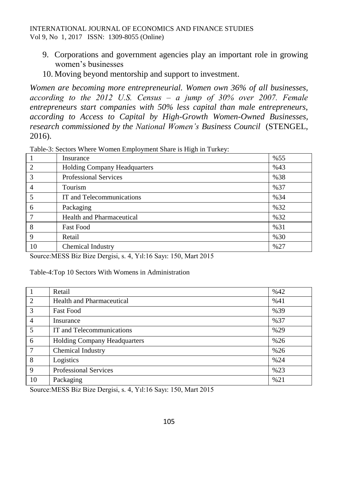- 9. Corporations and government agencies play an important role in growing women's businesses
- 10. Moving beyond mentorship and support to investment.

*Women are becoming more entrepreneurial. [Women own 36% of](http://www.forbes.com/sites/geristengel/2015/08/26/women-owned-businesses-a-tale-of-two-types-of-entrepreneurs/) [all businesses,](http://www.forbes.com/sites/geristengel/2015/08/26/women-owned-businesses-a-tale-of-two-types-of-entrepreneurs/) according to the 2012 U.S. Census ‒ a jump of 30% over 2007. Female entrepreneurs start companies with 50% less capital than male entrepreneurs, according to [Access to Capital by High-Growth Women-Owned Businesses,](https://www.nwbc.gov/sites/default/files/Access%20to%20Capital%20by%20High%20Growth%20Women-Owned%20Businesses%20(Robb)%20-%20Final%20Draft.pdf) research commissioned by the [National Women's Business Council](https://www.nwbc.gov/)* (STENGEL, 2016).

|                | Insurance                           | %55 |
|----------------|-------------------------------------|-----|
| $\overline{2}$ | <b>Holding Company Headquarters</b> | %43 |
| 3              | <b>Professional Services</b>        | %38 |
| 4              | Tourism                             | %37 |
|                | IT and Telecommunications           | %34 |
| 6              | Packaging                           | %32 |
|                | Health and Pharmaceutical           | %32 |
| 8              | <b>Fast Food</b>                    | %31 |
| 9              | Retail                              | %30 |
| 10             | Chemical Industry                   | %27 |

Table-3: Sectors Where Women Employment Share is High in Turkey:

Source:MESS Biz Bize Dergisi, s. 4, Yıl:16 Sayı: 150, Mart 2015

Table-4:Top 10 Sectors With Womens in Administration

|                | Retail                              | %42 |
|----------------|-------------------------------------|-----|
| 2              | <b>Health and Pharmaceutical</b>    | %41 |
| 3              | <b>Fast Food</b>                    | %39 |
| $\overline{4}$ | Insurance                           | %37 |
| 5              | IT and Telecommunications           | %29 |
| 6              | <b>Holding Company Headquarters</b> | %26 |
| 7              | Chemical Industry                   | %26 |
| 8              | Logistics                           | %24 |
| 9              | <b>Professional Services</b>        | %23 |
| 10             | Packaging                           | %21 |

Source:MESS Biz Bize Dergisi, s. 4, Yıl:16 Sayı: 150, Mart 2015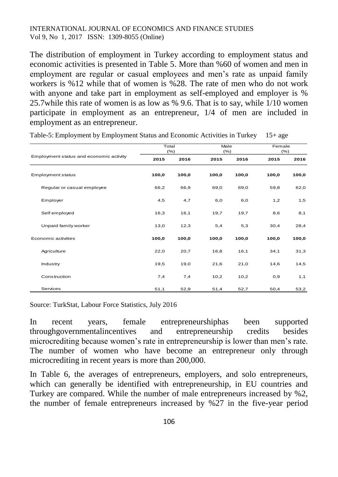The distribution of employment in Turkey according to employment status and economic activities is presented in Table 5. More than %60 of women and men in employment are regular or casual employees and men's rate as unpaid family workers is %12 while that of women is %28. The rate of men who do not work with anyone and take part in employment as self-employed and employer is % 25.7while this rate of women is as low as % 9.6. That is to say, while 1/10 women participate in employment as an entrepreneur, 1/4 of men are included in employment as an entrepreneur.

|                                         | Total | (% )  | Male<br>(% ) |       | Female<br>(% ) |       |  |
|-----------------------------------------|-------|-------|--------------|-------|----------------|-------|--|
| Employment status and economic activity | 2015  | 2016  | 2015         | 2016  | 2015           | 2016  |  |
| Employment status                       | 100,0 | 100,0 | 100,0        | 100,0 | 100,0          | 100,0 |  |
| Regular or casual employee              | 66,2  | 66,9  | 69,0         | 69,0  | 59,8           | 62,0  |  |
| Employer                                | 4,5   | 4,7   | 6,0          | 6,0   | 1,2            | 1,5   |  |
| Self employed                           | 16,3  | 16,1  | 19,7         | 19,7  | 8,6            | 8,1   |  |
| Unpaid family worker                    | 13,0  | 12,3  | 5,4          | 5,3   | 30,4           | 28,4  |  |
| Economic activities                     | 100,0 | 100,0 | 100,0        | 100,0 | 100,0          | 100,0 |  |
| Agriculture                             | 22,0  | 20,7  | 16,8         | 16,1  | 34,1           | 31,3  |  |
| Industry                                | 19,5  | 19,0  | 21,6         | 21,0  | 14,6           | 14,5  |  |
| Construction                            | 7,4   | 7,4   | 10,2         | 10,2  | 0,9            | 1,1   |  |
| Services                                | 51,1  | 52,9  | 51,4         | 52,7  | 50,4           | 53,2  |  |

Table-5: Employment by Employment Status and Economic Activities in Turkey 15+ age

Source: TurkStat, Labour Force Statistics, July 2016

In recent years, female entrepreneurshiphas been supported throughgovernmentalincentives and entrepreneurship credits besides microcrediting because women's rate in entrepreneurship is lower than men's rate. The number of women who have become an entrepreneur only through microcrediting in recent years is more than 200,000.

In Table 6, the averages of entrepreneurs, employers, and solo entrepreneurs, which can generally be identified with entrepreneurship, in EU countries and Turkey are compared. While the number of male entrepreneurs increased by %2, the number of female entrepreneurs increased by %27 in the five-year period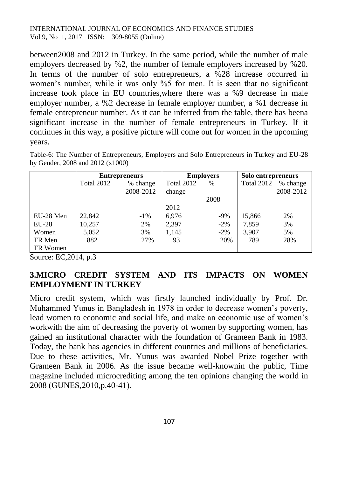between2008 and 2012 in Turkey. In the same period, while the number of male employers decreased by %2, the number of female employers increased by %20. In terms of the number of solo entrepreneurs, a %28 increase occurred in women's number, while it was only %5 for men. It is seen that no significant increase took place in EU countries,where there was a %9 decrease in male employer number, a %2 decrease in female employer number, a %1 decrease in female entrepreneur number. As it can be inferred from the table, there has beena significant increase in the number of female entrepreneurs in Turkey. If it continues in this way, a positive picture will come out for women in the upcoming years.

Table-6: The Number of Entrepreneurs, Employers and Solo Entrepreneurs in Turkey and EU-28 by Gender, 2008 and 2012 (x1000)

|           | <b>Entrepreneurs</b> |           |            | <b>Employers</b> | Solo entrepreneurs |           |  |
|-----------|----------------------|-----------|------------|------------------|--------------------|-----------|--|
|           | Total 2012           | % change  | Total 2012 | %                | Total 2012         | % change  |  |
|           |                      | 2008-2012 | change     |                  |                    | 2008-2012 |  |
|           |                      |           |            | 2008-            |                    |           |  |
|           |                      |           | 2012       |                  |                    |           |  |
| EU-28 Men | 22,842               | $-1\%$    | 6,976      | -9%              | 15,866             | 2%        |  |
| $EU-28$   | 10,257               | 2%        | 2,397      | $-2\%$           | 7,859              | 3%        |  |
| Women     | 5,052                | 3%        | 1,145      | $-2\%$           | 3,907              | 5%        |  |
| TR Men    | 882                  | 27%       | 93         | 20%              | 789                | 28%       |  |
| TR Women  |                      |           |            |                  |                    |           |  |

Source: EC,2014, p.3

# **3.MICRO CREDIT SYSTEM AND ITS IMPACTS ON WOMEN EMPLOYMENT IN TURKEY**

Micro credit system, which was firstly launched individually by Prof. Dr. Muhammed Yunus in Bangladesh in 1978 in order to decrease women's poverty, lead women to economic and social life, and make an economic use of women's workwith the aim of decreasing the poverty of women by supporting women, has gained an institutional character with the foundation of Grameen Bank in 1983. Today, the bank has agencies in different countries and millions of beneficiaries. Due to these activities, Mr. Yunus was awarded Nobel Prize together with Grameen Bank in 2006. As the issue became well-knownin the public, Time magazine included microcrediting among the ten opinions changing the world in 2008 (GUNES,2010,p.40-41).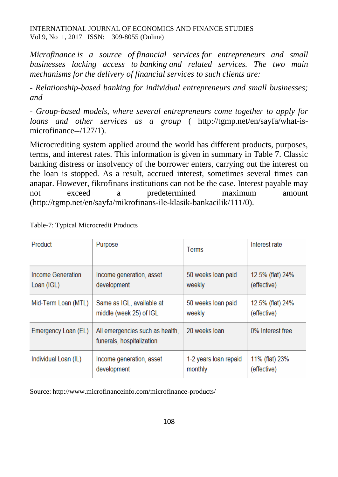*Microfinance is a source of financial services for entrepreneurs and small businesses lacking access to banking and related services. The two main mechanisms for the delivery of financial services to such clients are:*

*- Relationship-based banking for individual entrepreneurs and small businesses; and*

*- Group-based models, where several entrepreneurs come together to apply for loans and other services as a group* ( [http://tgmp.net/en/sayfa/what-is](http://tgmp.net/en/sayfa/what-is-microfinance--/127/1)[microfinance--/127/1\)](http://tgmp.net/en/sayfa/what-is-microfinance--/127/1).

Microcrediting system applied around the world has different products, purposes, terms, and interest rates. This information is given in summary in Table 7. Classic banking distress or insolvency of the borrower enters, carrying out the interest on the loan is stopped. As a result, accrued interest, sometimes several times can anapar. However, fikrofinans institutions can not be the case. Interest payable may not exceed a predetermined maximum amount (http://tgmp.net/en/sayfa/mikrofinans-ile-klasik-bankacilik/111/0).

| Product              | Purpose                                                      | <b>Terms</b>          | Interest rate    |
|----------------------|--------------------------------------------------------------|-----------------------|------------------|
| Income Generation    | Income generation, asset                                     | 50 weeks loan paid    | 12.5% (flat) 24% |
| Loan (IGL)           | development                                                  | weekly                | (effective)      |
| Mid-Term Loan (MTL)  | Same as IGL, available at                                    | 50 weeks loan paid    | 12.5% (flat) 24% |
|                      | middle (week 25) of IGL                                      | weekly                | (effective)      |
| Emergency Loan (EL)  | All emergencies such as health,<br>funerals, hospitalization | 20 weeks loan         | 0% Interest free |
| Individual Loan (IL) | Income generation, asset                                     | 1-2 years loan repaid | 11% (flat) 23%   |
|                      | development                                                  | monthly               | (effective)      |

Table-7: Typical Microcredit Products

Source: http://www.microfinanceinfo.com/microfinance-products/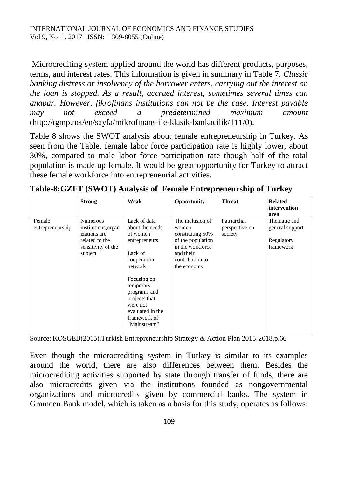Microcrediting system applied around the world has different products, purposes, terms, and interest rates. This information is given in summary in Table 7. *Classic banking distress or insolvency of the borrower enters, carrying out the interest on the loan is stopped. As a result, accrued interest, sometimes several times can anapar. However, fikrofinans institutions can not be the case. Interest payable may not exceed a predetermined maximum amount*  [\(http://tgmp.net/en/sayfa/mikrofinans-ile-klasik-bankacilik/111/0\)](http://tgmp.net/en/sayfa/mikrofinans-ile-klasik-bankacilik/111/0).

Table 8 shows the SWOT analysis about female entrepreneurship in Turkey. As seen from the Table, female labor force participation rate is highly lower, about 30%, compared to male labor force participation rate though half of the total population is made up female. It would be great opportunity for Turkey to attract these female workforce into entrepreneurial activities.

|                            | <b>Strong</b>                                                                                             | Weak                                                                                                                                                                                                                           | Opportunity                                                                                                                           | <b>Threat</b>                            | <b>Related</b><br>intervention<br>area                     |
|----------------------------|-----------------------------------------------------------------------------------------------------------|--------------------------------------------------------------------------------------------------------------------------------------------------------------------------------------------------------------------------------|---------------------------------------------------------------------------------------------------------------------------------------|------------------------------------------|------------------------------------------------------------|
| Female<br>entrepreneurship | <b>Numerous</b><br>institutions, organ<br>izations are<br>related to the<br>sensitivity of the<br>subject | Lack of data<br>about the needs<br>of women<br>entrepreneurs<br>Lack of<br>cooperation<br>network<br>Focusing on<br>temporary<br>programs and<br>projects that<br>were not<br>evaluated in the<br>framework of<br>"Mainstream" | The inclusion of<br>women<br>constituting 50%<br>of the population<br>in the workforce<br>and their<br>contribution to<br>the economy | Patriarchal<br>perspective on<br>society | Thematic and<br>general support<br>Regulatory<br>framework |

| Table-8:GZFT (SWOT) Analysis of Female Entrepreneurship of Turkey |  |  |  |
|-------------------------------------------------------------------|--|--|--|
|                                                                   |  |  |  |

Source: KOSGEB(2015).Turkish Entrepreneurship Strategy & Action Plan 2015-2018,p.66

Even though the microcrediting system in Turkey is similar to its examples around the world, there are also differences between them. Besides the microcrediting activities supported by state through transfer of funds, there are also microcredits given via the institutions founded as nongovernmental organizations and microcredits given by commercial banks. The system in Grameen Bank model, which is taken as a basis for this study, operates as follows: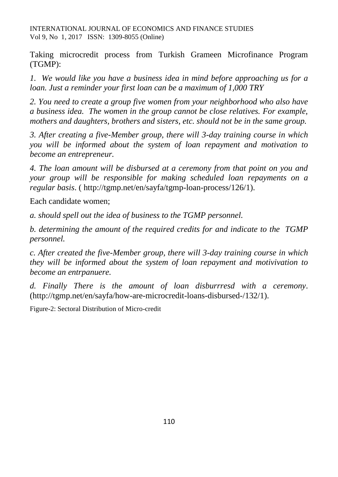Taking microcredit process from Turkish Grameen Microfinance Program (TGMP):

*1. We would like you have a business idea in mind before approaching us for a loan. Just a reminder your first loan can be a maximum of 1,000 TRY* 

*2. You need to create a group five women from your neighborhood who also have a business idea. The women in the group cannot be close relatives. For example, mothers and daughters, brothers and sisters, etc. should not be in the same group.*

*3. After creating a five-Member group, there will 3-day training course in which you will be informed about the system of loan repayment and motivation to become an entrepreneur.*

*4. The loan amount will be disbursed at a ceremony from that point on you and your group will be responsible for making scheduled loan repayments on a regular basis*. ( http://tgmp.net/en/sayfa/tgmp-loan-process/126/1).

Each candidate women;

*a. should spell out the idea of business to the TGMP personnel.*

*b. determining the amount of the required credits for and indicate to the TGMP personnel.*

*c. After created the five-Member group, there will 3-day training course in which they will be informed about the system of loan repayment and motivivation to become an entrpanuere.*

*d. Finally There is the amount of loan disburrresd with a ceremony*. [\(http://tgmp.net/en/sayfa/how-are-microcredit-loans-disbursed-/132/1\)](http://tgmp.net/en/sayfa/how-are-microcredit-loans-disbursed-/132/1).

Figure-2: Sectoral Distribution of Micro-credit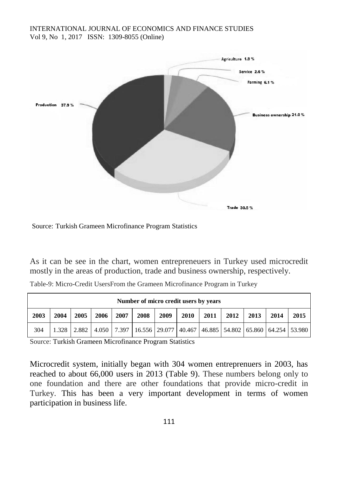

Source: [Turkish Grameen Microfinance Program S](http://www.google.com.tr/url?sa=t&rct=j&q=&esrc=s&source=web&cd=3&cad=rja&uact=8&ved=0ahUKEwjdp_nc_s3QAhVHvRoKHS4cDbUQFgg2MAI&url=http%3A%2F%2Fgrameen-jameel.com%2Fturkish-grameen-microfinance-program-tgmp%2F&usg=AFQjCNEsAhgb5UsZZs4N-jkf9x0yWOKZOQ&bvm=bv.139782543,d.bGg)tatistics

As it can be see in the chart, women entrepreneuers in Turkey used microcredit mostly in the areas of production, trade and business ownership, respectively.

|      | Number of micro credit users by years |      |      |      |      |      |                                                                                                       |      |      |      |      |      |
|------|---------------------------------------|------|------|------|------|------|-------------------------------------------------------------------------------------------------------|------|------|------|------|------|
| 2003 | 2004                                  | 2005 | 2006 | 2007 | 2008 | 2009 | 2010                                                                                                  | 2011 | 2012 | 2013 | 2014 | 2015 |
| 304  |                                       |      |      |      |      |      | 1.328   2.882   4.050   7.397   16.556   29.077   40.467   46.885   54.802   65.860   64.254   53.980 |      |      |      |      |      |

Table-9: Micro-Credit UsersFrom the Grameen Microfinance Program in Turkey

Source: [Turkish Grameen Microfinance Program S](http://www.google.com.tr/url?sa=t&rct=j&q=&esrc=s&source=web&cd=3&cad=rja&uact=8&ved=0ahUKEwjdp_nc_s3QAhVHvRoKHS4cDbUQFgg2MAI&url=http%3A%2F%2Fgrameen-jameel.com%2Fturkish-grameen-microfinance-program-tgmp%2F&usg=AFQjCNEsAhgb5UsZZs4N-jkf9x0yWOKZOQ&bvm=bv.139782543,d.bGg)tatistics

Microcredit system, initially began with 304 women entreprenuers in 2003, has reached to about 66,000 users in 2013 (Table 9). These numbers belong only to one foundation and there are other foundations that provide micro-credit in Turkey. This has been a very important development in terms of women participation in business life.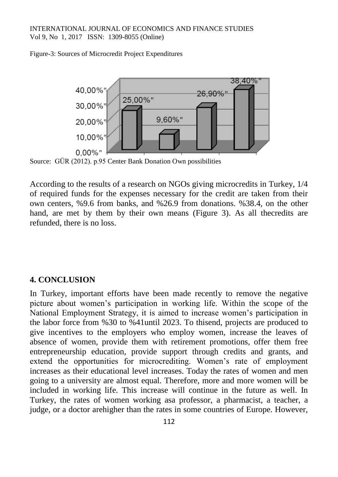Figure-3: Sources of Microcredit Project Expenditures



Source: GÜR (2012). p.95 Center Bank Donation Own possibilities

According to the results of a research on NGOs giving microcredits in Turkey, 1/4 of required funds for the expenses necessary for the credit are taken from their own centers, %9.6 from banks, and %26.9 from donations. %38.4, on the other hand, are met by them by their own means (Figure 3). As all thecredits are refunded, there is no loss.

#### **4. CONCLUSION**

In Turkey, important efforts have been made recently to remove the negative picture about women's participation in working life. Within the scope of the National Employment Strategy, it is aimed to increase women's participation in the labor force from %30 to %41until 2023. To thisend, projects are produced to give incentives to the employers who employ women, increase the leaves of absence of women, provide them with retirement promotions, offer them free entrepreneurship education, provide support through credits and grants, and extend the opportunities for microcrediting. Women's rate of employment increases as their educational level increases. Today the rates of women and men going to a university are almost equal. Therefore, more and more women will be included in working life. This increase will continue in the future as well. In Turkey, the rates of women working asa professor, a pharmacist, a teacher, a judge, or a doctor arehigher than the rates in some countries of Europe. However,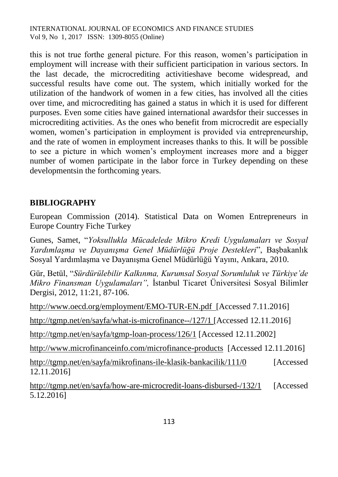this is not true forthe general picture. For this reason, women's participation in employment will increase with their sufficient participation in various sectors. In the last decade, the microcrediting activitieshave become widespread, and successful results have come out. The system, which initially worked for the utilization of the handwork of women in a few cities, has involved all the cities over time, and microcrediting has gained a status in which it is used for different purposes. Even some cities have gained international awardsfor their successes in microcrediting activities. As the ones who benefit from microcredit are especially women, women's participation in employment is provided via entrepreneurship, and the rate of women in employment increases thanks to this. It will be possible to see a picture in which women's employment increases more and a bigger number of women participate in the labor force in Turkey depending on these developmentsin the forthcoming years.

## **BIBLIOGRAPHY**

[European Commission](http://ec.europa.eu/growth/index_en.htm) (2014). Statistical Data on Women Entrepreneurs in Europe Country Fiche Turkey

Gunes, Samet, "*Yoksullukla Mücadelede Mikro Kredi Uygulamaları ve Sosyal Yardımlaşma ve Dayanışma Genel Müdürlüğü Proje Destekleri*", Başbakanlık Sosyal Yardımlaşma ve Dayanışma Genel Müdürlüğü Yayını, Ankara, 2010.

Gür, Betül, "*Sürdürülebilir Kalkınma, Kurumsal Sosyal Sorumluluk ve Türkiye'de Mikro Finansman Uygulamaları",* İstanbul Ticaret Üniversitesi Sosyal Bilimler Dergisi, 2012, 11:21, 87-106.

<http://www.oecd.org/employment/EMO-TUR-EN.pdf>[Accessed 7.11.2016] <http://tgmp.net/en/sayfa/what-is-microfinance--/127/1> [Accessed 12.11.2016] <http://tgmp.net/en/sayfa/tgmp-loan-process/126/1> [Accessed 12.11.2002] <http://www.microfinanceinfo.com/microfinance-products>[Accessed 12.11.2016] <http://tgmp.net/en/sayfa/mikrofinans-ile-klasik-bankacilik/111/0> [Accessed 12.11.2016]

<http://tgmp.net/en/sayfa/how-are-microcredit-loans-disbursed-/132/1> [Accessed 5.12.2016]